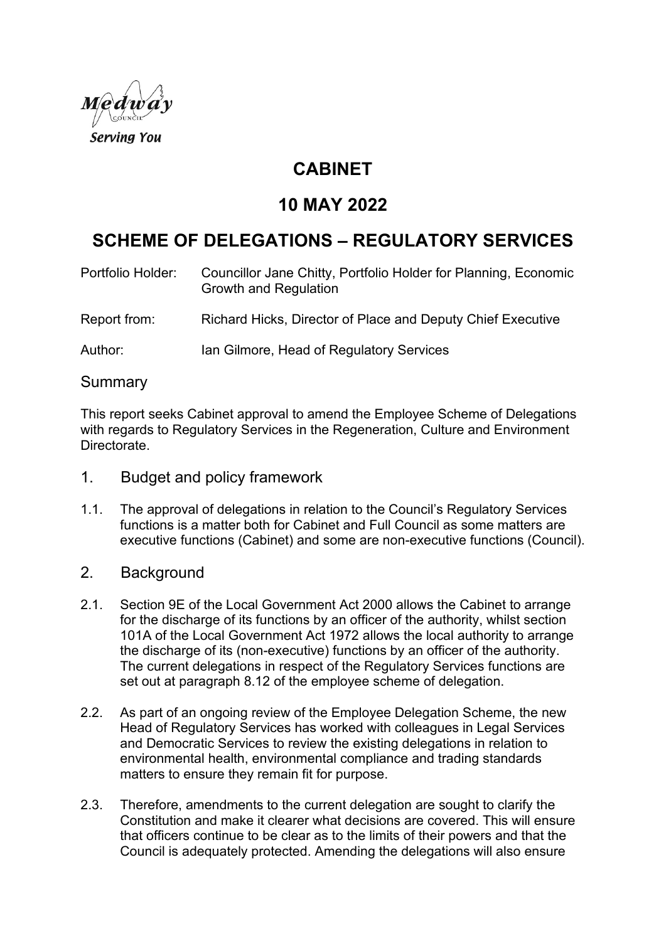

# **CABINET**

# **10 MAY 2022**

# **SCHEME OF DELEGATIONS – REGULATORY SERVICES**

| Portfolio Holder: | Councillor Jane Chitty, Portfolio Holder for Planning, Economic<br><b>Growth and Regulation</b> |
|-------------------|-------------------------------------------------------------------------------------------------|
| Report from:      | Richard Hicks, Director of Place and Deputy Chief Executive                                     |
| Author:           | Ian Gilmore, Head of Regulatory Services                                                        |

#### Summary

This report seeks Cabinet approval to amend the Employee Scheme of Delegations with regards to Regulatory Services in the Regeneration, Culture and Environment Directorate.

- 1. Budget and policy framework
- 1.1. The approval of delegations in relation to the Council's Regulatory Services functions is a matter both for Cabinet and Full Council as some matters are executive functions (Cabinet) and some are non-executive functions (Council).

#### 2. Background

- 2.1. Section 9E of the Local Government Act 2000 allows the Cabinet to arrange for the discharge of its functions by an officer of the authority, whilst section 101A of the Local Government Act 1972 allows the local authority to arrange the discharge of its (non-executive) functions by an officer of the authority. The current delegations in respect of the Regulatory Services functions are set out at paragraph 8.12 of the employee scheme of delegation.
- 2.2. As part of an ongoing review of the Employee Delegation Scheme, the new Head of Regulatory Services has worked with colleagues in Legal Services and Democratic Services to review the existing delegations in relation to environmental health, environmental compliance and trading standards matters to ensure they remain fit for purpose.
- 2.3. Therefore, amendments to the current delegation are sought to clarify the Constitution and make it clearer what decisions are covered. This will ensure that officers continue to be clear as to the limits of their powers and that the Council is adequately protected. Amending the delegations will also ensure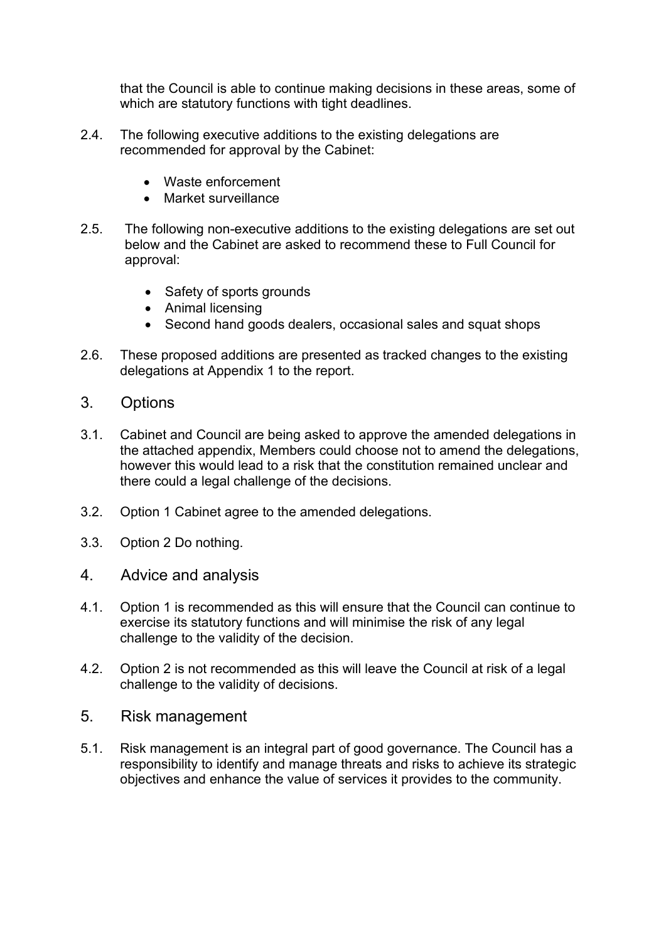that the Council is able to continue making decisions in these areas, some of which are statutory functions with tight deadlines.

- 2.4. The following executive additions to the existing delegations are recommended for approval by the Cabinet:
	- Waste enforcement
	- Market surveillance
- 2.5. The following non-executive additions to the existing delegations are set out below and the Cabinet are asked to recommend these to Full Council for approval:
	- Safety of sports grounds
	- Animal licensing
	- Second hand goods dealers, occasional sales and squat shops
- 2.6. These proposed additions are presented as tracked changes to the existing delegations at Appendix 1 to the report.
- 3. Options
- 3.1. Cabinet and Council are being asked to approve the amended delegations in the attached appendix, Members could choose not to amend the delegations, however this would lead to a risk that the constitution remained unclear and there could a legal challenge of the decisions.
- 3.2. Option 1 Cabinet agree to the amended delegations.
- 3.3. Option 2 Do nothing.
- 4. Advice and analysis
- 4.1. Option 1 is recommended as this will ensure that the Council can continue to exercise its statutory functions and will minimise the risk of any legal challenge to the validity of the decision.
- 4.2. Option 2 is not recommended as this will leave the Council at risk of a legal challenge to the validity of decisions.
- 5. Risk management
- 5.1. Risk management is an integral part of good governance. The Council has a responsibility to identify and manage threats and risks to achieve its strategic objectives and enhance the value of services it provides to the community.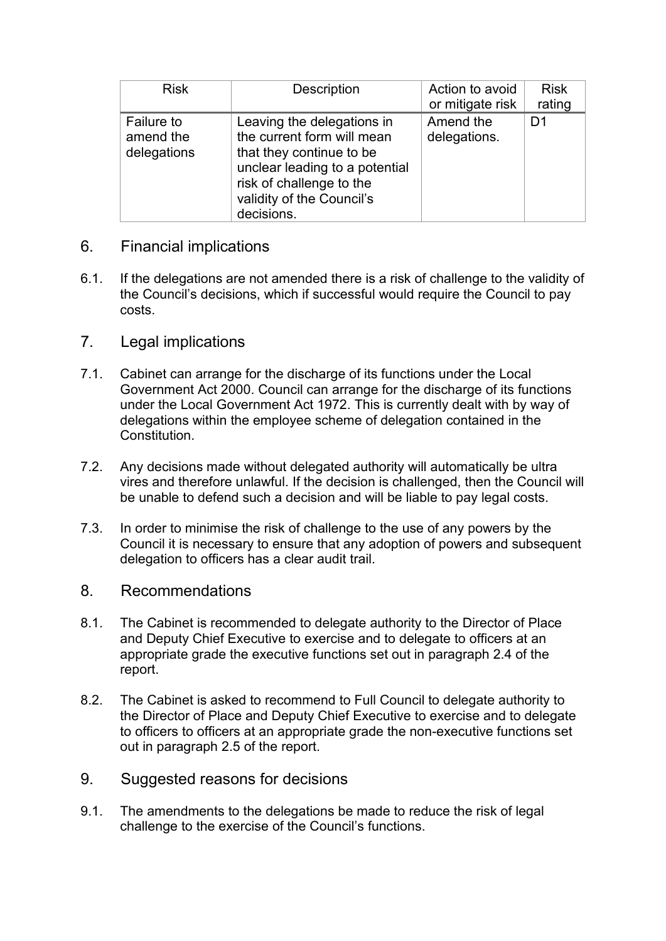| <b>Risk</b>                                   | Description                                                                                                                                                                                   | Action to avoid           | <b>Risk</b> |
|-----------------------------------------------|-----------------------------------------------------------------------------------------------------------------------------------------------------------------------------------------------|---------------------------|-------------|
|                                               |                                                                                                                                                                                               | or mitigate risk          | rating      |
| <b>Failure to</b><br>amend the<br>delegations | Leaving the delegations in<br>the current form will mean<br>that they continue to be<br>unclear leading to a potential<br>risk of challenge to the<br>validity of the Council's<br>decisions. | Amend the<br>delegations. | D1          |

#### 6. Financial implications

- 6.1. If the delegations are not amended there is a risk of challenge to the validity of the Council's decisions, which if successful would require the Council to pay costs.
- 7. Legal implications
- 7.1. Cabinet can arrange for the discharge of its functions under the Local Government Act 2000. Council can arrange for the discharge of its functions under the Local Government Act 1972. This is currently dealt with by way of delegations within the employee scheme of delegation contained in the Constitution.
- 7.2. Any decisions made without delegated authority will automatically be ultra vires and therefore unlawful. If the decision is challenged, then the Council will be unable to defend such a decision and will be liable to pay legal costs.
- 7.3. In order to minimise the risk of challenge to the use of any powers by the Council it is necessary to ensure that any adoption of powers and subsequent delegation to officers has a clear audit trail.
- 8. Recommendations
- 8.1. The Cabinet is recommended to delegate authority to the Director of Place and Deputy Chief Executive to exercise and to delegate to officers at an appropriate grade the executive functions set out in paragraph 2.4 of the report.
- 8.2. The Cabinet is asked to recommend to Full Council to delegate authority to the Director of Place and Deputy Chief Executive to exercise and to delegate to officers to officers at an appropriate grade the non-executive functions set out in paragraph 2.5 of the report.
- 9. Suggested reasons for decisions
- 9.1. The amendments to the delegations be made to reduce the risk of legal challenge to the exercise of the Council's functions.